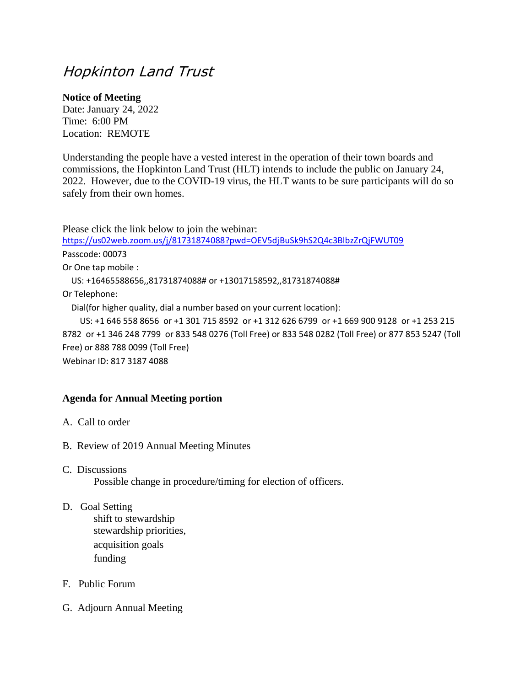## Hopkinton Land Trust

## **Notice of Meeting**

Date: January 24, 2022 Time: 6:00 PM Location: REMOTE

Understanding the people have a vested interest in the operation of their town boards and commissions, the Hopkinton Land Trust (HLT) intends to include the public on January 24, 2022. However, due to the COVID-19 virus, the HLT wants to be sure participants will do so safely from their own homes.

Please click the link below to join the webinar: [https://us02web.zoom.us/j/81731874088?pwd=OEV5djBuSk9hS2Q4c3BlbzZrQjFWUT09](https://us02web.zoom.us/j/81731874088?pwd=OEV5djBuSk9hS2Q4c3BlbzZrQjFWUT09#_blank) Passcode: 00073 Or One tap mobile : US: +16465588656,,81731874088# or +13017158592,,81731874088# Or Telephone: Dial(for higher quality, dial a number based on your current location): US: +1 646 558 8656 or +1 301 715 8592 or +1 312 626 6799 or +1 669 900 9128 or +1 253 215 8782 or +1 346 248 7799 or 833 548 0276 (Toll Free) or 833 548 0282 (Toll Free) or 877 853 5247 (Toll Free) or 888 788 0099 (Toll Free)

Webinar ID: 817 3187 4088

## **Agenda for Annual Meeting portion**

- A. Call to order
- B. Review of 2019 Annual Meeting Minutes
- C. Discussions

Possible change in procedure/timing for election of officers.

D. Goal Setting

shift to stewardship stewardship priorities, acquisition goals funding

- F. Public Forum
- G. Adjourn Annual Meeting